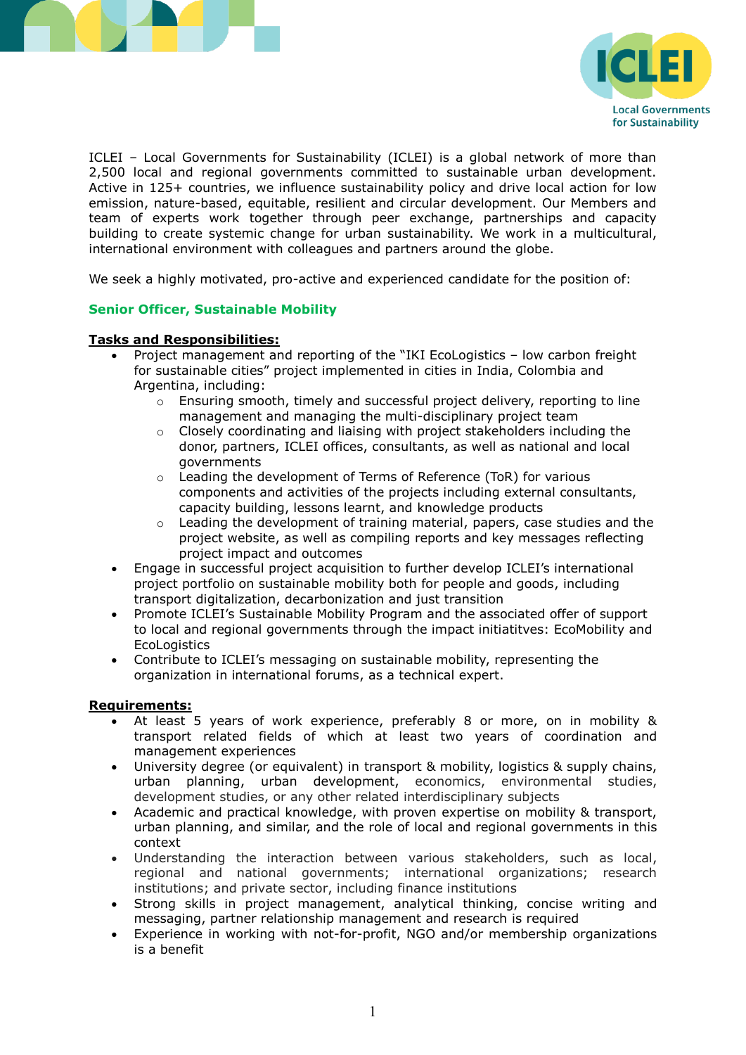



ICLEI – Local Governments for Sustainability (ICLEI) is a global network of more than 2,500 local and regional governments committed to sustainable urban development. Active in 125+ countries, we influence sustainability policy and drive local action for low emission, nature-based, equitable, resilient and circular development. Our Members and team of experts work together through peer exchange, partnerships and capacity building to create systemic change for urban sustainability. We work in a multicultural, international environment with colleagues and partners around the globe.

We seek a highly motivated, pro-active and experienced candidate for the position of:

### **Senior Officer, Sustainable Mobility**

#### **Tasks and Responsibilities:**

- Project management and reporting of the "IKI EcoLogistics low carbon freight for sustainable cities" project implemented in cities in India, Colombia and Argentina, including:
	- $\circ$  Ensuring smooth, timely and successful project delivery, reporting to line management and managing the multi-disciplinary project team
	- $\circ$  Closely coordinating and liaising with project stakeholders including the donor, partners, ICLEI offices, consultants, as well as national and local governments
	- o Leading the development of Terms of Reference (ToR) for various components and activities of the projects including external consultants, capacity building, lessons learnt, and knowledge products
	- $\circ$  Leading the development of training material, papers, case studies and the project website, as well as compiling reports and key messages reflecting project impact and outcomes
- Engage in successful project acquisition to further develop ICLEI's international project portfolio on sustainable mobility both for people and goods, including transport digitalization, decarbonization and just transition
- Promote ICLEI's Sustainable Mobility Program and the associated offer of support to local and regional governments through the impact initiatitves: EcoMobility and **EcoLogistics**
- Contribute to ICLEI's messaging on sustainable mobility, representing the organization in international forums, as a technical expert.

#### **Requirements:**

- At least 5 years of work experience, preferably 8 or more, on in mobility & transport related fields of which at least two years of coordination and management experiences
- University degree (or equivalent) in transport & mobility, logistics & supply chains, urban planning, urban development, economics, environmental studies, development studies, or any other related interdisciplinary subjects
- Academic and practical knowledge, with proven expertise on mobility & transport, urban planning, and similar, and the role of local and regional governments in this context
- Understanding the interaction between various stakeholders, such as local, regional and national governments; international organizations; research institutions; and private sector, including finance institutions
- Strong skills in project management, analytical thinking, concise writing and messaging, partner relationship management and research is required
- Experience in working with not-for-profit, NGO and/or membership organizations is a benefit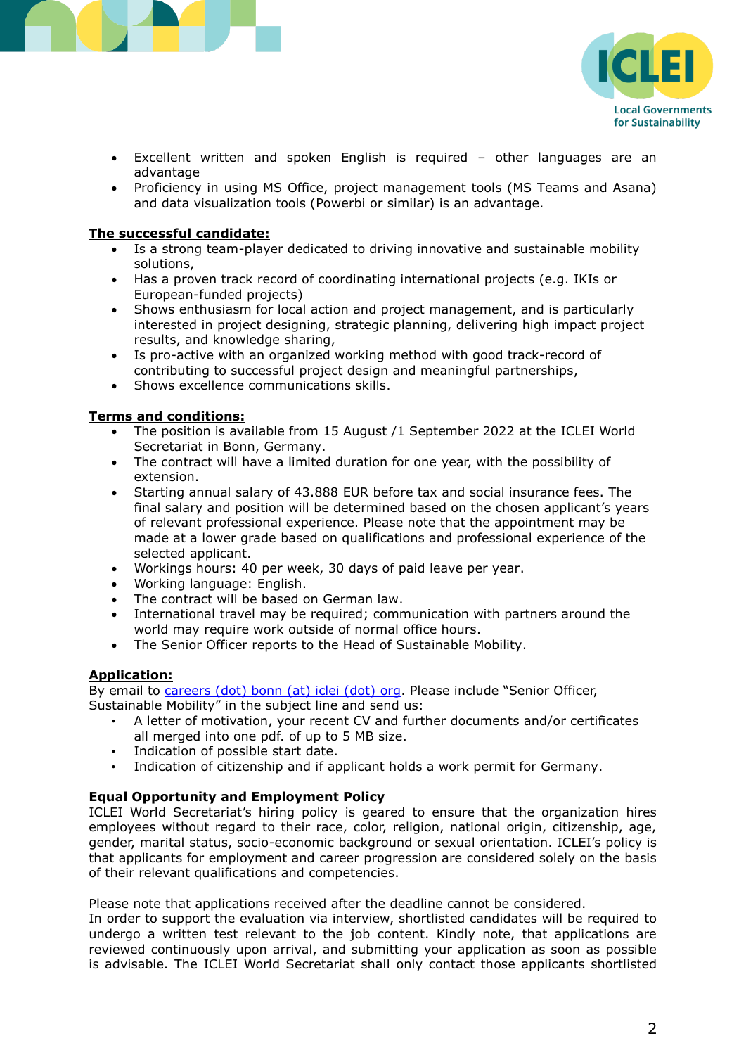



- Excellent written and spoken English is required other languages are an advantage
- Proficiency in using MS Office, project management tools (MS Teams and Asana) and data visualization tools (Powerbi or similar) is an advantage.

## **The successful candidate:**

- Is a strong team-player dedicated to driving innovative and sustainable mobility solutions,
- Has a proven track record of coordinating international projects (e.g. IKIs or European-funded projects)
- Shows enthusiasm for local action and project management, and is particularly interested in project designing, strategic planning, delivering high impact project results, and knowledge sharing,
- Is pro-active with an organized working method with good track-record of contributing to successful project design and meaningful partnerships,
- Shows excellence communications skills.

### **Terms and conditions:**

- The position is available from 15 August /1 September 2022 at the ICLEI World Secretariat in Bonn, Germany.
- The contract will have a limited duration for one year, with the possibility of extension.
- Starting annual salary of 43.888 EUR before tax and social insurance fees. The final salary and position will be determined based on the chosen applicant's years of relevant professional experience. Please note that the appointment may be made at a lower grade based on qualifications and professional experience of the selected applicant.
- Workings hours: 40 per week, 30 days of paid leave per year.
- Working language: English.
- The contract will be based on German law.
- International travel may be required; communication with partners around the world may require work outside of normal office hours.
- The Senior Officer reports to the Head of Sustainable Mobility.

# **Application:**

By email to *careers (dot) bonn (at) iclei (dot) org*. Please include "Senior Officer, Sustainable Mobility" in the subject line and send us:

- A letter of motivation, your recent CV and further documents and/or certificates all merged into one pdf. of up to 5 MB size.
- Indication of possible start date.<br>• Indication of citizenshin and if ar
- Indication of citizenship and if applicant holds a work permit for Germany.

# **Equal Opportunity and Employment Policy**

ICLEI World Secretariat's hiring policy is geared to ensure that the organization hires employees without regard to their race, color, religion, national origin, citizenship, age, gender, marital status, socio-economic background or sexual orientation. ICLEI's policy is that applicants for employment and career progression are considered solely on the basis of their relevant qualifications and competencies.

Please note that applications received after the deadline cannot be considered.

In order to support the evaluation via interview, shortlisted candidates will be required to undergo a written test relevant to the job content. Kindly note, that applications are reviewed continuously upon arrival, and submitting your application as soon as possible is advisable. The ICLEI World Secretariat shall only contact those applicants shortlisted